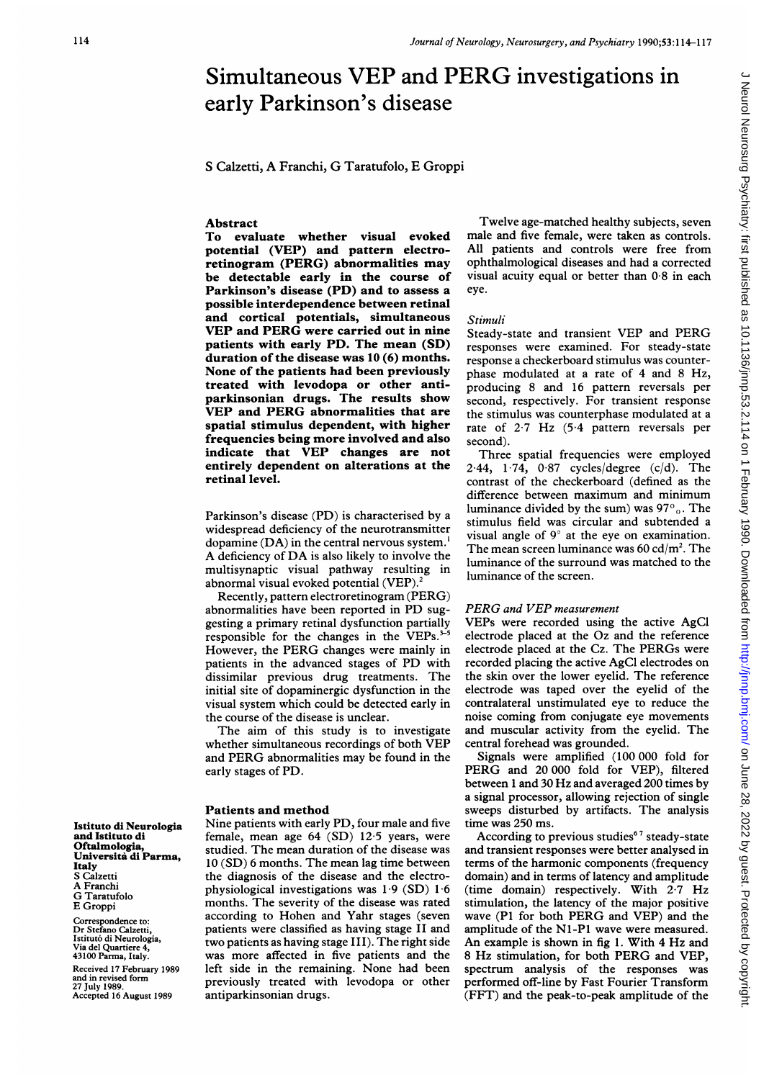# Simultaneous VEP and PERG investigations in early Parkinson's disease

<sup>S</sup> Calzetti, A Franchi, G Taratufolo, E Groppi

## Abstract

To evaluate whether visual evoked potential (VEP) and pattern electroretinogram (PERG) abnormalities may be detectable early in the course of Parkinson's disease (PD) and to assess a possible interdependence between retinal and cortical potentials, simultaneous VEP and PERG were carried out in nine patients with early PD. The mean (SD) duration of the disease was 10 (6) months. None of the patients had been previously treated with levodopa or other antiparkinsonian drugs. The results show VEP and PERG abnormalities that are spatial stimulus dependent, with higher frequencies being more involved and also indicate that VEP changes are not entirely dependent on alterations at the retinal level.

Parkinson's disease (PD) is characterised by a widespread deficiency of the neurotransmitter dopamine  $(DA)$  in the central nervous system.<sup>1</sup> A deficiency of DA is also likely to involve the multisynaptic visual pathway resulting in abnormal visual evoked potential (VEP).<sup>2</sup>

Recently, pattern electroretinogram (PERG) abnormalities have been reported in PD suggesting a primary retinal dysfunction partially responsible for the changes in the VEPs.<sup>3-5</sup> However, the PERG changes were mainly in patients in the advanced stages of PD with dissimilar previous drug treatments. The initial site of dopaminergic dysfunction in the visual system which could be detected early in the course of the disease is unclear.

The aim of this study is to investigate whether simultaneous recordings of both VEP and PERG abnormalities may be found in the early stages of PD.

## Patients and method

Nine patients with early PD, four male and five female, mean age 64 (SD) 12 5 years, were studied. The mean duration of the disease was 10 (SD) 6 months. The mean lag time between the diagnosis of the disease and the electrophysiological investigations was  $1.9$  (SD)  $1.6$ months. The severity of the disease was rated according to Hohen and Yahr stages (seven patients were classified as having stage II and two patients as having stage III). The right side was more affected in five patients and the left side in the remaining. None had been previously treated with levodopa or other antiparkinsonian drugs.

Twelve age-matched healthy subjects, seven male and five female, were taken as controls. All patients and controls were free from ophthalmological diseases and had a corrected visual acuity equal or better than 0 8 in each eye.

#### Stimuli

Steady-state and transient VEP and PERG responses were examined. For steady-state response a checkerboard stimulus was counterphase modulated at a rate of 4 and 8 Hz, producing 8 and 16 pattern reversals per second, respectively. For transient response the stimulus was counterphase modulated at a rate of  $2.7$  Hz (5.4 pattern reversals per second).

Three spatial frequencies were employed  $2.44$ ,  $1.74$ ,  $0.87$  cycles/degree (c/d). The contrast of the checkerboard (defined as the difference between maximum and minimum luminance divided by the sum) was  $97^\circ$ <sub>0</sub>. The stimulus field was circular and subtended a visual angle of 9° at the eye on examination. The mean screen luminance was  $60 \text{ cd/m}^2$ . The luminance of the surround was matched to the luminance of the screen.

J Neurol Neurosurg Psychiatry: first published as 10.1136/jnnp.53.2.114 on 1 February 1990. Downloaded from http://jnnp.bmj.com/ on June 28, 2022 by guest. Protected by copyright J Neurol Neurosurg Psychiatry: first published as 10.1136/jnnp.53.2.114 on 1 February 1990. Downloaded from <http://jnnp.bmj.com/> on June 28, 2022 by guest. Protected by copyright.

# PERG and VEP measurement

VEPs were recorded using the active AgCl electrode placed at the Oz and the reference electrode placed at the Cz. The PERGs were recorded placing the active AgCl electrodes on the skin over the lower eyelid. The reference electrode was taped over the eyelid of the contralateral unstimulated eye to reduce the noise coming from conjugate eye movements and muscular activity from the eyelid. The central forehead was grounded.

Signals were amplified (100 000 fold for PERG and <sup>20</sup> 000 fold for VEP), filtered between <sup>1</sup> and 30 Hz and averaged 200 times by a signal processor, allowing rejection of single sweeps disturbed by artifacts. The analysis time was 250 ms.

According to previous studies<sup>67</sup> steady-state and transient responses were better analysed in terms of the harmonic components (frequency domain) and in terms of latency and amplitude (time domain) respectively. With 2.7 Hz stimulation, the latency of the major positive wave (P1 for both PERG and VEP) and the amplitude of the NI-Pl wave were measured. An example is shown in fig 1. With 4 Hz and <sup>8</sup> Hz stimulation, for both PERG and VEP, spectrum analysis of the responses was performed off-line by Fast Fourier Transform (FFT) and the peak-to-peak amplitude of the

Istituto di Neurologia and Istituto di Oftalmologia, Universita di Parma, Italy S Calzetti A Franchi G Taratufolo E Groppi

Correspondence to: Dr Stefano Calzetti, Istitut6 di Neurologia, Via del Quartiere 4, 43100 Parma, Italy.

Received 17 February 1989 and in revised form 27 July 1989. Accepted 16 August 1989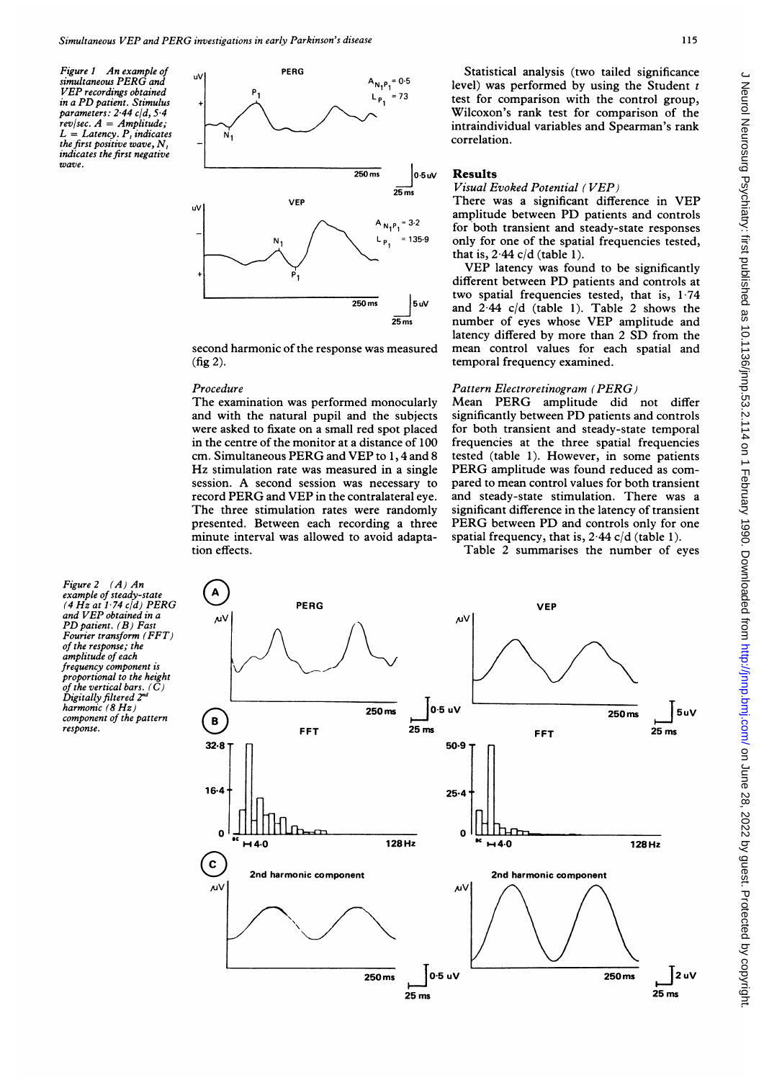Figure <sup>1</sup> An example of simultaneous PERG and VEP recordings obtained in <sup>a</sup> PD patient. Stimulus parameters: 2-44 c/d. 5-4  $rev/sec. A = Amplitude;$  $L =$  Latency.  $P$ , indicates the first positive wave, N, indicates the first negative wave.



second harmonic of the response was measured (fig 2).

#### Procedure

The examination was performed monocularly and with the natural pupil and the subjects were asked to fixate on a small red spot placed in the centre of the monitor at a distance of 100 cm. Simultaneous PERG and VEP to 1, <sup>4</sup> and <sup>8</sup> Hz stimulation rate was measured in <sup>a</sup> single session. A second session was necessary to record PERG and VEP in the contralateral eye. The three stimulation rates were randomly presented. Between each recording a three minute interval was allowed to avoid adaptation effects.

Statistical analysis (two tailed significance level) was performed by using the Student  $t$ test for comparison with the control group, Wilcoxon's rank test for comparison of the intraindividual variables and Spearman's rank correlation.

### Results

#### Visual Evoked Potential ( VEP)

There was <sup>a</sup> significant difference in VEP amplitude between PD patients and controls for both transient and steady-state responses only for one of the spatial frequencies tested, that is,  $2.44$  c/d (table 1).

VEP latency was found to be significantly different between PD patients and controls at two spatial frequencies tested, that is, 1.74 and  $2.44$  c/d (table 1). Table 2 shows the number of eyes whose VEP amplitude and latency differed by more than <sup>2</sup> SD from the mean control values for each spatial and temporal frequency examined.

# Pattern Electroretinogram (PERG)

Mean PERG amplitude did not differ significantly between PD patients and controls for both transient and steady-state temporal frequencies at the three spatial frequencies tested (table 1). However, in some patients PERG amplitude was found reduced as compared to mean control values for both transient and steady-state stimulation. There was a significant difference in the latency of transient PERG between PD and controls only for one spatial frequency, that is,  $2.44$  c/d (table 1).

Table 2 summarises the number of eyes

Figure 2 (A) An example of steady-state (4 Hz at <sup>1</sup> <sup>74</sup> cld) PERG and VEP obtained in <sup>a</sup> PD patient. (B) Fast Fourier transform (FFT) of the response; the amplitude of each frequency component is proportional to the height of the vertical bars.  $(\check{C})$ Digitally filtered 2 harmonic (8 Hz) component of the pattern response.

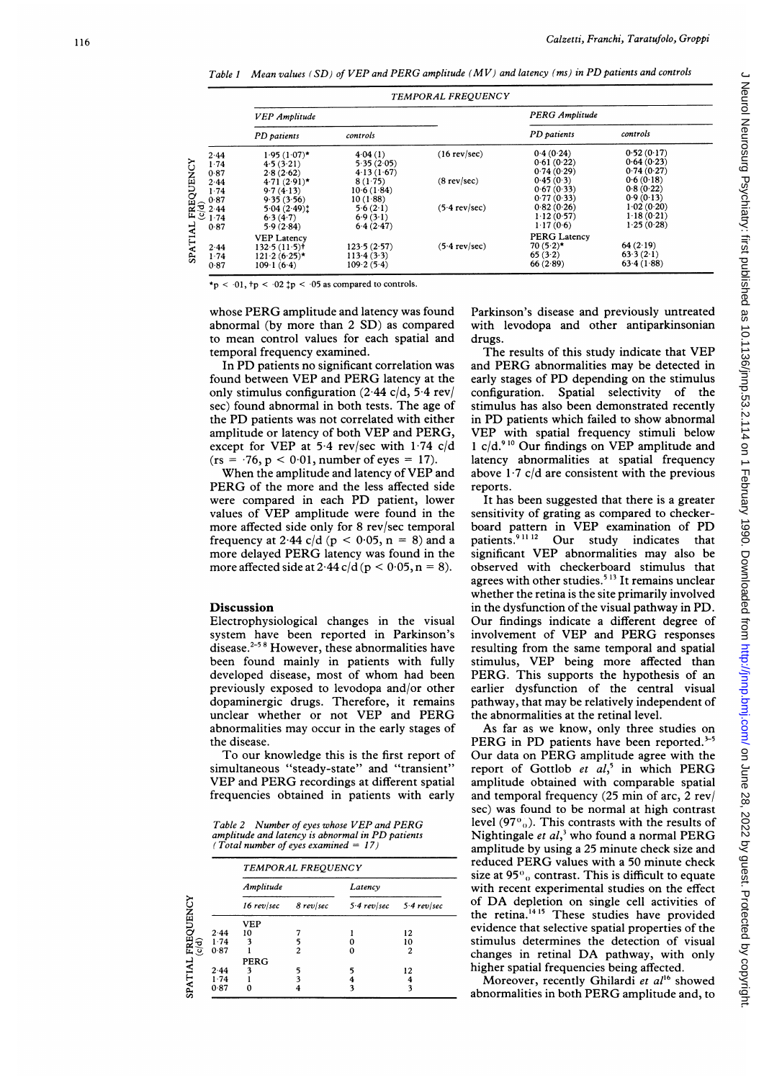Table 1 Mean values (SD) of VEP and PERG amplitude (MV) and latency (ms) in PD patients and controls

|                                                                                                                                                                                                               | <b>TEMPORAL FREQUENCY</b>  |             |                         |                       |            |  |
|---------------------------------------------------------------------------------------------------------------------------------------------------------------------------------------------------------------|----------------------------|-------------|-------------------------|-----------------------|------------|--|
|                                                                                                                                                                                                               | <b>VEP</b> Amplitude       |             |                         | <b>PERG Amplitude</b> |            |  |
|                                                                                                                                                                                                               | PD patients                | controls    |                         | PD patients           | controls   |  |
| 2.44                                                                                                                                                                                                          | $1.95(1.07)$ *             | 4.04(1)     | $(16$ rev/sec)          | 0.4(0.24)             | 0.52(0.17) |  |
| 1.74                                                                                                                                                                                                          | 4.5(3.21)                  | 5.35(2.05)  |                         | 0.61(0.22)            | 0.64(0.23) |  |
| 0.87                                                                                                                                                                                                          | 2.8(2.62)                  | 4.13(1.67)  |                         | 0.74(0.29)            | 0.74(0.27) |  |
|                                                                                                                                                                                                               | $4.71(2.91)$ *             | 8(1.75)     | $(8$ rev/sec)           | 0.45(0.3)             | 0.6(0.18)  |  |
| $\begin{array}{c}\n\mathbf{244} \\ \mathbf{174} \\ \mathbf{174} \\ \mathbf{184} \\ \mathbf{194} \\ \mathbf{194} \\ \mathbf{174} \\ \mathbf{174} \\ \mathbf{174} \\ \mathbf{174} \\ \mathbf{174}\n\end{array}$ | 9.7(4.13)                  | 10.6(1.84)  |                         | 0.67(0.33)            | 0.8(0.22)  |  |
|                                                                                                                                                                                                               | 9.35(3.56)                 | 10(1.88)    |                         | 0.77(0.33)            | 0.9(0.13)  |  |
|                                                                                                                                                                                                               | 5.04(2.49)                 | 56(21)      | $(5.4 \text{ rev/sec})$ | 0.82(0.26)            | 1.02(0.20) |  |
|                                                                                                                                                                                                               | 6.3(4.7)                   | 6.9(3.1)    |                         | 112(0.57)             | 1.18(0.21) |  |
| 0.87                                                                                                                                                                                                          | 5.9(2.84)                  | 6.4(2.47)   |                         | 1.17(0.6)             | 1.25(0.28) |  |
|                                                                                                                                                                                                               | <b>VEP Latency</b>         |             |                         | <b>PERG Latency</b>   |            |  |
| 2.44                                                                                                                                                                                                          | $132.5(11.5)$ <sup>+</sup> | 123.5(2.57) | $(5.4$ rev/sec)         | $70(5.2)$ *           | 64(2.19)   |  |
| 1.74                                                                                                                                                                                                          | $121.2 (6.25)$ *           | 113.4(3.3)  |                         | 65(3.2)               | 63.3(2.1)  |  |
| 0.87                                                                                                                                                                                                          | 109.1(6.4)                 | 109.2(5.4)  |                         | 66(2.89)              | 63.4(1.88) |  |

\*p <  $\cdot$  01,  $tp$  <  $\cdot$  02  $\downarrow$ p <  $\cdot$  05 as compared to controls.

whose PERG amplitude and latency was found abnormal (by more than 2 SD) as compared to mean control values for each spatial and temporal frequency examined.

In PD patients no significant correlation was found between VEP and PERG latency at the only stimulus configuration  $(2.44 \text{ c/d}, 5.4 \text{ rev})$ sec) found abnormal in both tests. The age of the PD patients was not correlated with either amplitude or latency of both VEP and PERG, except for VEP at 5.4 rev/sec with  $1.74$  c/d  $(rs = 76, p < 0.01, number of eyes = 17).$ 

When the amplitude and latency of VEP and PERG of the more and the less affected side were compared in each PD patient, lower values of VEP amplitude were found in the more affected side only for 8 rev/sec temporal frequency at 2.44 c/d ( $p < 0.05$ ,  $n = 8$ ) and a more delayed PERG latency was found in the more affected side at  $2.44 \text{ c/d}$  (p < 0.05, n = 8).

#### Discussion

Electrophysiological changes in the visual system have been reported in Parkinson's disease.258 However, these abnormalities have been found mainly in patients with fully developed disease, most of whom had been previously exposed to levodopa and/or other dopaminergic drugs. Therefore, it remains unclear whether or not VEP and PERG abnormalities may occur in the early stages of the disease.

To our knowledge this is the first report of simultaneous "steady-state" and "transient" VEP and PERG recordings at different spatial frequencies obtained in patients with early

Table <sup>2</sup> Number of eyes whose VEP and PERG amplitude and latency is abnormal in PD patients (Total number of eyes examined =  $17$ )

|      | <b>TEMPORAL FREOUENCY</b> |           |                             |    |  |  |
|------|---------------------------|-----------|-----------------------------|----|--|--|
|      | Amplitude                 |           | Latency                     |    |  |  |
|      | $16$ rev/sec              | 8 rev/sec | $5.4$ rev/sec $5.4$ rev/sec |    |  |  |
|      | <b>VEP</b>                |           |                             |    |  |  |
| 2.44 | 10                        |           |                             | 12 |  |  |
| 1.74 | 3                         | 5         |                             | 10 |  |  |
| 0.87 |                           | 2         |                             |    |  |  |
|      | <b>PERG</b>               |           |                             |    |  |  |
| 2.44 |                           |           |                             | 12 |  |  |
| 1.74 |                           |           |                             |    |  |  |
| 0.87 |                           |           |                             |    |  |  |

Parkinson's disease and previously untreated with levodopa and other antiparkinsonian drugs.

The results of this study indicate that VEP and PERG abnormalities may be detected in early stages of PD depending on the stimulus configuration. Spatial selectivity of the stimulus has also been demonstrated recently in PD patients which failed to show abnormal VEP with spatial frequency stimuli below 1 c/d.<sup>910</sup> Our findings on VEP amplitude and latency abnormalities at spatial frequency above  $1.7$  c/d are consistent with the previous reports.

It has been suggested that there is a greater sensitivity of grating as compared to checkerboard pattern in  $\overline{VEP}$  examination of PD<br>patients.<sup>91112</sup> Our study indicates that patients.<sup>91112</sup> Our study indicates significant VEP abnormalities may also be observed with checkerboard stimulus that agrees with other studies.<sup>513</sup> It remains unclear whether the retina is the site primarily involved in the dysfunction of the visual pathway in PD. Our findings indicate a different degree of involvement of VEP and PERG responses resulting from the same temporal and spatial stimulus, VEP being more affected than PERG. This supports the hypothesis of an earlier dysfunction of the central visual pathway, that may be relatively independent of the abnormalities at the retinal level.

As far as we know, only three studies on PERG in PD patients have been reported. $3-5$ Our data on PERG amplitude agree with the report of Gottlob et  $al$ ,<sup>5</sup> in which PERG amplitude obtained with comparable spatial and temporal frequency (25 min of arc, 2 rev/ sec) was found to be normal at high contrast level (97 $\degree$ <sub>0</sub>). This contrasts with the results of Nightingale et  $al$ ,<sup>3</sup> who found a normal PERG amplitude by using a 25 minute check size and reduced PERG values with <sup>a</sup> <sup>50</sup> minute check size at 95 $\degree$ <sub>0</sub> contrast. This is difficult to equate with recent experimental studies on the effect of DA depletion on single cell activities of the retina.<sup>1415</sup> These studies have provided evidence that selective spatial properties of the stimulus determines the detection of visual changes in retinal DA pathway, with only higher spatial frequencies being affected.

Moreover, recently Ghilardi et al<sup>16</sup> showed abnormalities in both PERG amplitude and, to